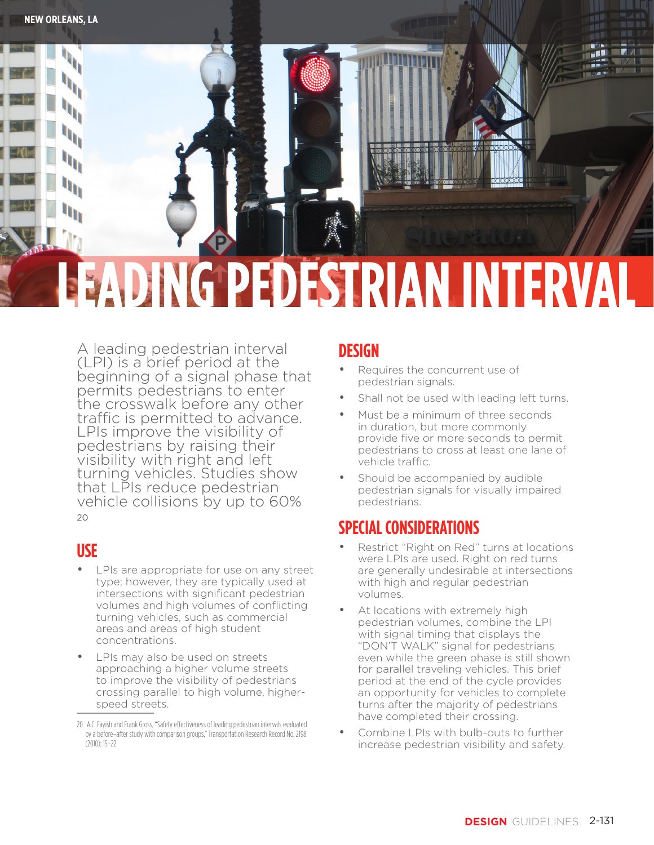

# **LEADING PEDESTRIAN INTERVAL**

A leading pedestrian interval (LPI) is a brief period at the beginning of a signal phase that permits pedestrians to enter the crosswalk before any other traffic is permitted to advance. LPIs improve the visibility of pedestrians by raising their visibility with right and left turning vehicles. Studies show that LPIs reduce pedestrian vehicle collisions by up to 60% 20

### **USE**

- LPIs are appropriate for use on any street type; however, they are typically used at intersections with significant pedestrian volumes and high volumes of conflicting turning vehicles, such as commercial areas and areas of high student concentrations.
- LPIs may also be used on streets approaching a higher volume streets to improve the visibility of pedestrians crossing parallel to high volume, higherspeed streets.

#### **DESIGN**

- Requires the concurrent use of pedestrian signals.
- Shall not be used with leading left turns.
- Must be a minimum of three seconds in duration, but more commonly provide five or more seconds to permit pedestrians to cross at least one lane of vehicle traffic.
- Should be accompanied by audible pedestrian signals for visually impaired pedestrians.

# **SPECIAL CONSIDERATIONS**

- Restrict "Right on Red" turns at locations were LPIs are used. Right on red turns are generally undesirable at intersections with high and regular pedestrian volumes.
- At locations with extremely high pedestrian volumes, combine the LPI with signal timing that displays the "DON'T WALK" signal for pedestrians even while the green phase is still shown for parallel traveling vehicles. This brief period at the end of the cycle provides an opportunity for vehicles to complete turns after the majority of pedestrians have completed their crossing.
- Combine LPIs with bulb-outs to further increase pedestrian visibility and safety.

<sup>20</sup> A.C. Fayish and Frank Gross, "Safety effectiveness of leading pedestrian intervals evaluated by a before–after study with comparison groups," Transportation Research Record No. 2198 (2010): 15–22